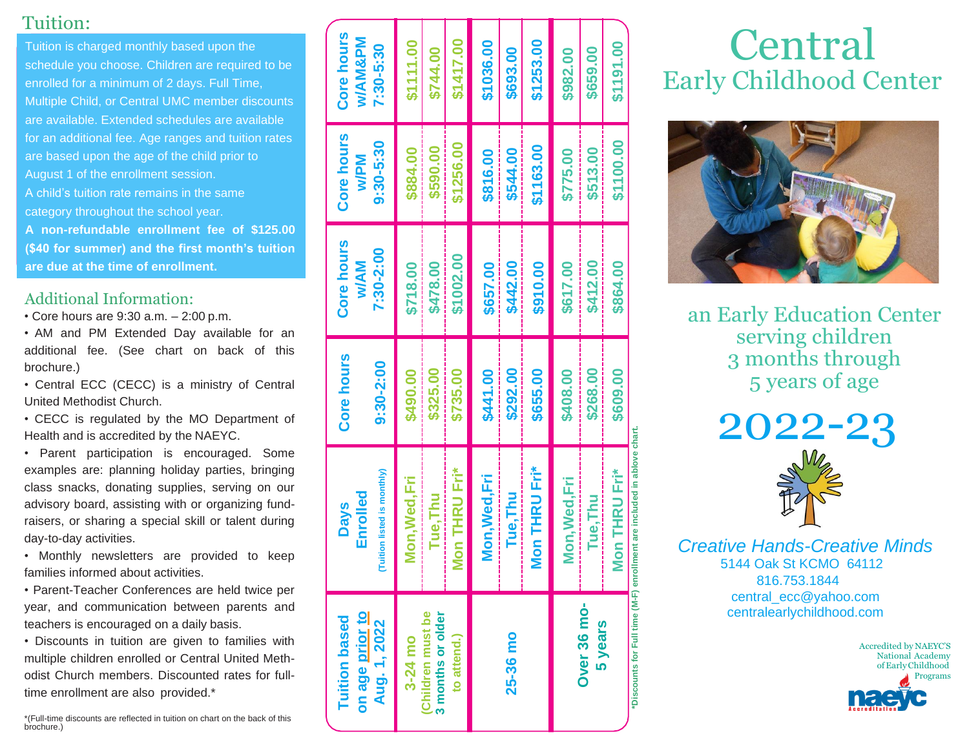#### Tuition:

Tuition is charged monthly based upon the schedule you choose. Children are required to be enrolled for a minimum of 2 days. Full Time, Multiple Child, or Central UMC member discounts are available. Extended schedules are available for an additional fee. Age ranges and tuition rates are based upon the age of the child prior to August 1 of the enrollment session. A child's tuition rate remains in the same category throughout the school year. **A non-refundable enrollment fee of \$125.00 (\$40 for summer) and the first month's tuition are due at the time of enrollment.**

#### Additional Information:

• Core hours are 9:30 a.m. – 2:00 p.m.

• AM and PM Extended Day available for an additional fee. (See chart on back of this brochure.)

• Central ECC (CECC) is a ministry of Central United Methodist Church.

• CECC is regulated by the MO Department of Health and is accredited by the NAEYC.

• Parent participation is encouraged. Some examples are: planning holiday parties, bringing class snacks, donating supplies, serving on our advisory board, assisting with or organizing fundraisers, or sharing a special skill or talent during day-to-day activities.

• Monthly newsletters are provided to keep families informed about activities.

• Parent-Teacher Conferences are held twice per year, and communication between parents and teachers is encouraged on a daily basis.

• Discounts in tuition are given to families with multiple children enrolled or Central United Methodist Church members. Discounted rates for fulltime enrollment are also provided.\*

\*(Full-time discounts are reflected in tuition on chart on the back of this brochure.)

| on age prior to<br><b>Tuition based</b><br>Aug. 1, 2022 | uition listed is monthly)<br><b>Enrolled</b><br><b>Days</b>            | Core hours<br>$9:30 - 2:00$ | Core hours<br>7:30-2:00<br><b>WAM</b> | Core hours<br>$9:30 - 5:30$<br><b>Md/w</b> | Core hours<br>w/AM&PM<br>7:30-5:30 |
|---------------------------------------------------------|------------------------------------------------------------------------|-----------------------------|---------------------------------------|--------------------------------------------|------------------------------------|
| (Children must be<br>3 months or older<br>3-24 mo       | Mon, Wed, Fri<br>Tue.Thu                                               | \$325.00<br>\$490.00        | \$478.00<br>\$718.00                  | \$590.00<br>\$884.00                       | \$1111.00<br>\$744.00              |
| to attend.)                                             | <b>Non THRU Fri*</b>                                                   | \$735.00                    | \$1002.00                             | \$1256.00                                  | \$1417.00                          |
|                                                         | <b>Mon, Wed, Fri</b>                                                   | \$441.00                    | \$657.00                              | \$816.00                                   | \$1036.00                          |
| 25-36 mo                                                | Tue, Thu                                                               | \$292.00                    | \$442.00                              | \$544.00                                   | \$693.00                           |
|                                                         | <b>Mon THRU Fri*</b>                                                   | \$655.00                    | \$910.00                              | \$1163.00                                  | \$1253.00                          |
|                                                         | Mon, Wed, Fri                                                          | \$408.00                    | \$617.00                              | \$775.00                                   | \$982.00                           |
| Over 36 mo-<br>5 years                                  | Tue, Thu                                                               | \$268.00                    | \$412.00                              | \$513.00                                   | \$659.00                           |
|                                                         | <b>Mon THRU Fri*</b>                                                   | \$609.00                    | \$864.00                              | \$1100.00                                  | \$1191.00                          |
|                                                         | Discounts for Full time (M-F) enrollment are included in ablove chart. |                             |                                       |                                            |                                    |

# **Central** Early Childhood Center



an Early Education Center serving children 3 months through 5 years of age

2022-23 *Creative Hands-Creative Minds* 5144 Oak St KCMO 64112 816.753.1844

[central\\_ecc@yahoo.com](mailto:central_ecc@yahoo.com) centralearlychildhood.com